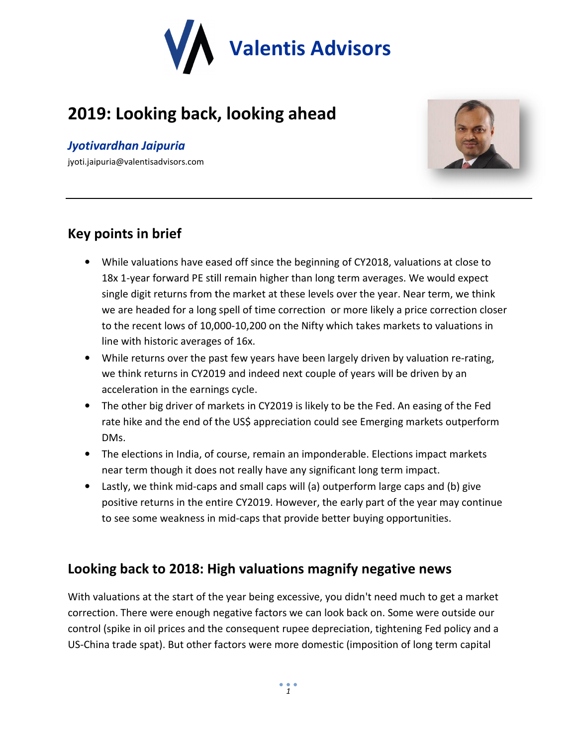

# **2019: Looking back, looking ahead**

### *Jyotivardhan Jaipuria*

jyoti.jaipuria@valentisadvisors.com



### **Key points in brief**

- While valuations have eased off since the beginning of CY2018, valuations at close to 18x 1-year forward PE still remain higher than long term averages. We would expect single digit returns from the market at these level 18x 1-year forward PE still remain higher than long term averages. We would expect single digit returns from the market at these levels over the year. Near term, we think we are headed for a long spell of time correction or more likely a price correction closer to the recent lows of 10,000-10,200 on the Nifty which takes markets to valuations in<br>line with historic averages of 16x.<br>While returns over the past few years have been largely driven by valuation re-rating, line with historic averages of 16x.
- While returns over the past few years have been largely driven by valuation re we think returns in CY2019 and indeed next couple of years will be driven by an acceleration in the earnings cycle. we think returns in CY2019 and indeed next couple of years will be driven by an acceleration in the earnings cycle.<br>• The other big driver of markets in CY2019 is likely to be the Fed. An easing of the Fed
- rate hike and the end of the US\$ appreciation could see Emerging markets outperform DMs.
- The elections in India, of course, remain an imponderable. Elections impact markets near term though it does not really have any significant long term impact.
- Lastly, we think mid-caps and small caps will (a) outperform large caps and (b) give positive returns in the entire CY2019. However, the early part of the year may continue to see some weakness in mid-caps that provide better buying opportunities. likely to be the Fed. An easing of the Fed<br>n could see Emerging markets outperform<br>mponderable. Elections impact markets<br>vignificant long term impact.<br>(a) outperform large caps and (b) give<br>ver, the early part of the year

# **Looking back to 2018: High valuations magnify negative news news**

With valuations at the start of the year being excessive, you didn't need much to get a market correction. There were enough negative factors we can look back on. Some were outside our control (spike in oil prices and the consequent rupee depreciation, tightening Fed policy and a US-China trade spat). But other factors were more domestic (imposition of long term capital single digit returns from the market at these levels over the year. Near term, we think<br>we are headed for a long spell of time correction or more likely a price correction dos<br>to the recent lows of 10,000-10,200 on the Ni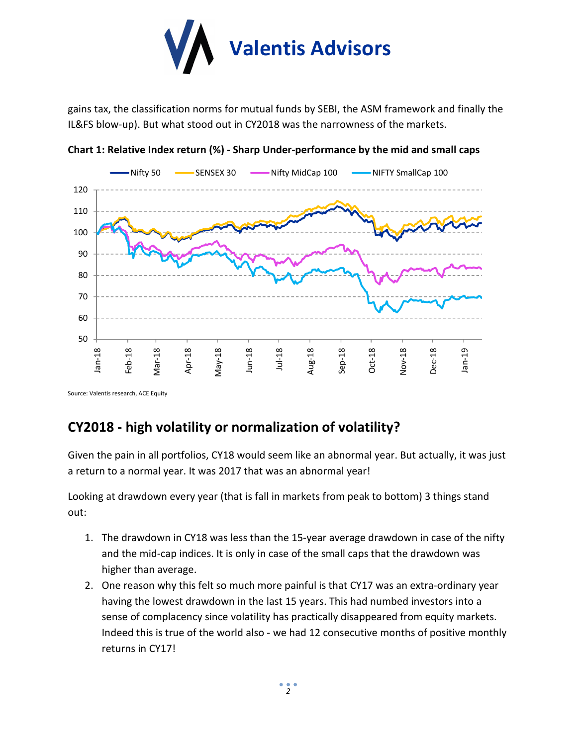

gains tax, the classification norms for mutual funds by SEBI, the ASM framework and finally the IL&FS blow-up). But what stood out in CY2018 was the narrowness of the markets.



**Chart 1: Relative Index return (%) - Sharp Under-performance by the mid and small caps** 

Source: Valentis research, ACE Equity

# **CY2018 - high volatility or normalization of volatility?**

Given the pain in all portfolios, CY18 would seem like an abnormal year. But actually, it was just a return to a normal year. It was 2017 that was an abnormal year!

Looking at drawdown every year (that is fall in markets from peak to bottom) 3 things stand out:

- 1. The drawdown in CY18 was less than the 15-year average drawdown in case of the nifty and the mid-cap indices. It is only in case of the small caps that the drawdown was higher than average.
- 2. One reason why this felt so much more painful is that CY17 was an extra-ordinary year having the lowest drawdown in the last 15 years. This had numbed investors into a sense of complacency since volatility has practically disappeared from equity markets. Indeed this is true of the world also - we had 12 consecutive months of positive monthly returns in CY17!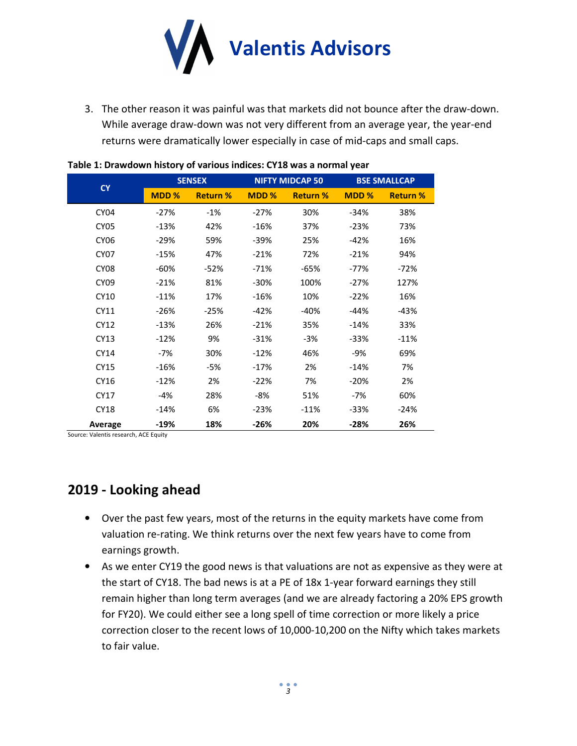

3. The other reason it was painful was that markets did not bounce after the draw-down. While average draw-down was not very different from an average year, the year-end returns were dramatically lower especially in case of mid-caps and small caps.

|                  | <b>SENSEX</b> |                 |        | <b>NIFTY MIDCAP 50</b> | <b>BSE SMALLCAP</b> |                 |
|------------------|---------------|-----------------|--------|------------------------|---------------------|-----------------|
| <b>CY</b>        | MDD %         | <b>Return %</b> | MDD %  | <b>Return %</b>        | MDD %               | <b>Return %</b> |
| CY <sub>04</sub> | $-27%$        | $-1%$           | $-27%$ | 30%                    | $-34%$              | 38%             |
| CY05             | $-13%$        | 42%             | $-16%$ | 37%                    | $-23%$              | 73%             |
| <b>CY06</b>      | $-29%$        | 59%             | $-39%$ | 25%                    | $-42%$              | 16%             |
| <b>CY07</b>      | $-15%$        | 47%             | $-21%$ | 72%                    | $-21%$              | 94%             |
| CY08             | $-60%$        | $-52%$          | $-71%$ | $-65%$                 | $-77%$              | $-72%$          |
| <b>CY09</b>      | $-21%$        | 81%             | $-30%$ | 100%                   | $-27%$              | 127%            |
| CY10             | $-11%$        | 17%             | $-16%$ | 10%                    | $-22%$              | 16%             |
| CY11             | $-26%$        | $-25%$          | $-42%$ | $-40%$                 | $-44%$              | $-43%$          |
| CY12             | $-13%$        | 26%             | $-21%$ | 35%                    | $-14%$              | 33%             |
| CY13             | $-12%$        | 9%              | $-31%$ | -3%                    | $-33%$              | $-11%$          |
| CY14             | -7%           | 30%             | $-12%$ | 46%                    | -9%                 | 69%             |
| CY15             | $-16%$        | -5%             | $-17%$ | 2%                     | $-14%$              | 7%              |
| CY16             | $-12%$        | 2%              | $-22%$ | 7%                     | $-20%$              | 2%              |
| CY17             | -4%           | 28%             | -8%    | 51%                    | -7%                 | 60%             |
| CY18             | $-14%$        | 6%              | $-23%$ | $-11%$                 | $-33%$              | $-24%$          |
| Average          | $-19%$        | 18%             | $-26%$ | 20%                    | -28%                | 26%             |

| Table 1: Drawdown history of various indices: CY18 was a normal year |  |
|----------------------------------------------------------------------|--|
|                                                                      |  |

Source: Valentis research, ACE Equity

# **2019 - Looking ahead**

- Over the past few years, most of the returns in the equity markets have come from valuation re-rating. We think returns over the next few years have to come from earnings growth.
- As we enter CY19 the good news is that valuations are not as expensive as they were at the start of CY18. The bad news is at a PE of 18x 1-year forward earnings they still remain higher than long term averages (and we are already factoring a 20% EPS growth for FY20). We could either see a long spell of time correction or more likely a price correction closer to the recent lows of 10,000-10,200 on the Nifty which takes markets to fair value.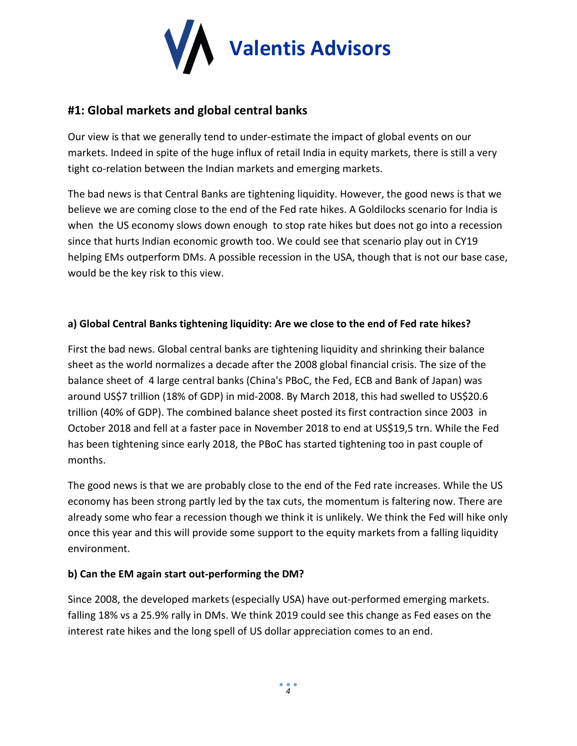

### **#1: Global markets and global central banks**

Our view is that we generally tend to under-estimate the impact of global events on our markets. Indeed in spite of the huge influx of retail India in equity markets, there is still a very tight co-relation between the Indian markets and emerging markets.

The bad news is that Central Banks are tightening liquidity. However, the good news is that we believe we are coming close to the end of the Fed rate hikes. A Goldilocks scenario for India is when the US economy slows down enough to stop rate hikes but does not go into a recession since that hurts Indian economic growth too. We could see that scenario play out in CY19 helping EMs outperform DMs. A possible recession in the USA, though that is not our base case, would be the key risk to this view.

#### **a) Global Central Banks tightening liquidity: Are we close to the end of Fed rate hikes?**

First the bad news. Global central banks are tightening liquidity and shrinking their balance sheet as the world normalizes a decade after the 2008 global financial crisis. The size of the balance sheet of 4 large central banks (China's PBoC, the Fed, ECB and Bank of Japan) was around US\$7 trillion (18% of GDP) in mid-2008. By March 2018, this had swelled to US\$20.6 trillion (40% of GDP). The combined balance sheet posted its first contraction since 2003 in October 2018 and fell at a faster pace in November 2018 to end at US\$19,5 trn. While the Fed has been tightening since early 2018, the PBoC has started tightening too in past couple of months.

The good news is that we are probably close to the end of the Fed rate increases. While the US economy has been strong partly led by the tax cuts, the momentum is faltering now. There are already some who fear a recession though we think it is unlikely. We think the Fed will hike only once this year and this will provide some support to the equity markets from a falling liquidity environment.

#### **b) Can the EM again start out-performing the DM?**

Since 2008, the developed markets (especially USA) have out-performed emerging markets. falling 18% vs a 25.9% rally in DMs. We think 2019 could see this change as Fed eases on the interest rate hikes and the long spell of US dollar appreciation comes to an end.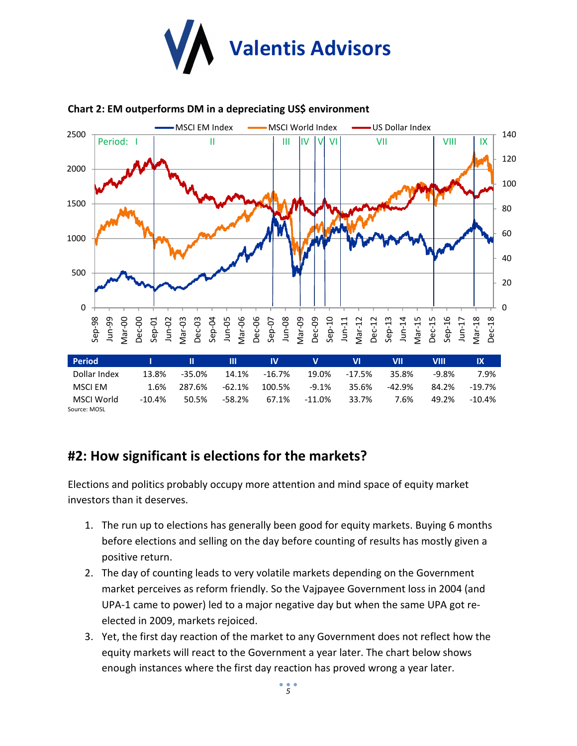



#### **Chart 2: EM outperforms DM in a depreciating US\$ environment**

### **#2: How significant is elections for the markets?**

Elections and politics probably occupy more attention and mind space of equity market investors than it deserves.

- 1. The run up to elections has generally been good for equity markets. Buying 6 months before elections and selling on the day before counting of results has mostly given a positive return.
- 2. The day of counting leads to very volatile markets depending on the Government market perceives as reform friendly. So the Vajpayee Government loss in 2004 (and UPA-1 came to power) led to a major negative day but when the same UPA got reelected in 2009, markets rejoiced.
- 3. Yet, the first day reaction of the market to any Government does not reflect how the equity markets will react to the Government a year later. The chart below shows enough instances where the first day reaction has proved wrong a year later.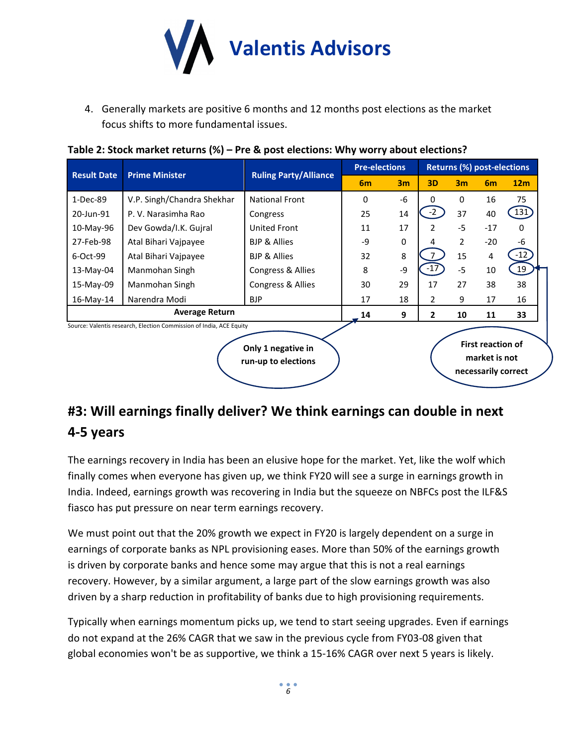

4. Generally markets are positive 6 months and 12 months post elections as the market focus shifts to more fundamental issues.

| <b>Result Date</b>                                                  | <b>Prime Minister</b>      | <b>Ruling Party/Alliance</b> | <b>Pre-elections</b> |             | <b>Returns (%) post-elections</b> |                |       |                    |
|---------------------------------------------------------------------|----------------------------|------------------------------|----------------------|-------------|-----------------------------------|----------------|-------|--------------------|
|                                                                     |                            |                              | 6 <sub>m</sub>       | 3m          | 3D                                | 3 <sub>m</sub> | 6m    | 12 <sub>m</sub>    |
| 1-Dec-89                                                            | V.P. Singh/Chandra Shekhar | <b>National Front</b>        | 0                    | $-6$        | 0                                 | 0              | 16    | 75                 |
| 20-Jun-91                                                           | P.V. Narasimha Rao         | Congress                     | 25                   | 14          | $-2$                              | 37             | 40    | $\left(131\right)$ |
| 10-May-96                                                           | Dev Gowda/I.K. Gujral      | United Front                 | 11                   | 17          | $\mathcal{P}$                     | $-5$           | $-17$ | $\Omega$           |
| 27-Feb-98                                                           | Atal Bihari Vajpayee       | <b>BJP &amp; Allies</b>      | -9                   | $\mathbf 0$ | 4                                 | 2              | $-20$ | -6                 |
| 6-Oct-99                                                            | Atal Bihari Vajpayee       | <b>BJP &amp; Allies</b>      | 32                   | 8           |                                   | 15             | 4     | $-12$              |
| 13-May-04                                                           | Manmohan Singh             | Congress & Allies            | 8                    | $-9$        | $-17$                             | $-5$           | 10    | 19                 |
| 15-May-09                                                           | Manmohan Singh             | Congress & Allies            | 30                   | 29          | 17                                | 27             | 38    | 38                 |
| $16$ -May- $14$                                                     | Narendra Modi              | BJP                          | 17                   | 18          | $\overline{2}$                    | 9              | 17    | 16                 |
| <b>Average Return</b>                                               |                            |                              | 14                   | 9           | 2                                 | 10             | 11    | 33                 |
| Source: Valentis research, Election Commission of India, ACE Equity |                            |                              |                      |             |                                   |                |       |                    |
| <b>First reaction of</b><br>Only 1 negative in                      |                            |                              |                      |             |                                   |                |       |                    |

**market is not necessarily correct**

**Table 2: Stock market returns (%) – Pre & post elections: Why worry about elections?**

**#3: Will earnings finally deliver? We think earnings can double in next 4-5 years** 

**run-up to elections** 

The earnings recovery in India has been an elusive hope for the market. Yet, like the wolf which finally comes when everyone has given up, we think FY20 will see a surge in earnings growth in India. Indeed, earnings growth was recovering in India but the squeeze on NBFCs post the ILF&S fiasco has put pressure on near term earnings recovery.

We must point out that the 20% growth we expect in FY20 is largely dependent on a surge in earnings of corporate banks as NPL provisioning eases. More than 50% of the earnings growth is driven by corporate banks and hence some may argue that this is not a real earnings recovery. However, by a similar argument, a large part of the slow earnings growth was also driven by a sharp reduction in profitability of banks due to high provisioning requirements.

Typically when earnings momentum picks up, we tend to start seeing upgrades. Even if earnings do not expand at the 26% CAGR that we saw in the previous cycle from FY03-08 given that global economies won't be as supportive, we think a 15-16% CAGR over next 5 years is likely.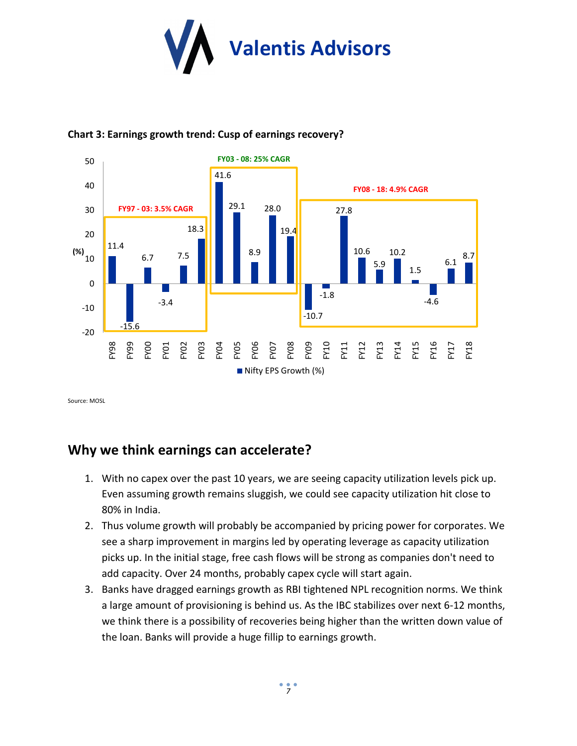



#### **Chart 3: Earnings growth trend: Cusp of earnings recovery?**

Source: MOSL

# **Why we think earnings can accelerate?**

- 1. With no capex over the past 10 years, we are seeing capacity utilization levels pick up. Even assuming growth remains sluggish, we could see capacity utilization hit close to 80% in India.
- 2. Thus volume growth will probably be accompanied by pricing power for corporates. We see a sharp improvement in margins led by operating leverage as capacity utilization picks up. In the initial stage, free cash flows will be strong as companies don't need to add capacity. Over 24 months, probably capex cycle will start again.
- 3. Banks have dragged earnings growth as RBI tightened NPL recognition norms. We think a large amount of provisioning is behind us. As the IBC stabilizes over next 6-12 months, we think there is a possibility of recoveries being higher than the written down value of the loan. Banks will provide a huge fillip to earnings growth.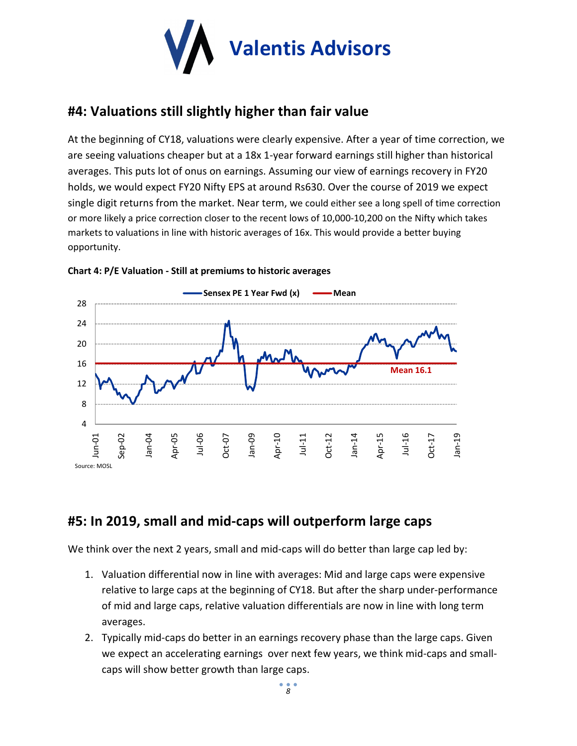

# **#4: Valuations still slightly higher than fair value**

At the beginning of CY18, valuations were clearly expensive. After a year of time correction, we are seeing valuations cheaper but at a 18x 1-year forward earnings still higher than historical averages. This puts lot of onus on earnings. Assuming our view of earnings recovery in FY20 holds, we would expect FY20 Nifty EPS at around Rs630. Over the course of 2019 we expect single digit returns from the market. Near term, we could either see a long spell of time correction or more likely a price correction closer to the recent lows of 10,000-10,200 on the Nifty which takes markets to valuations in line with historic averages of 16x. This would provide a better buying opportunity.



#### **Chart 4: P/E Valuation - Still at premiums to historic averages**

### **#5: In 2019, small and mid-caps will outperform large caps**

We think over the next 2 years, small and mid-caps will do better than large cap led by:

- 1. Valuation differential now in line with averages: Mid and large caps were expensive relative to large caps at the beginning of CY18. But after the sharp under-performance of mid and large caps, relative valuation differentials are now in line with long term averages.
- 2. Typically mid-caps do better in an earnings recovery phase than the large caps. Given we expect an accelerating earnings over next few years, we think mid-caps and smallcaps will show better growth than large caps.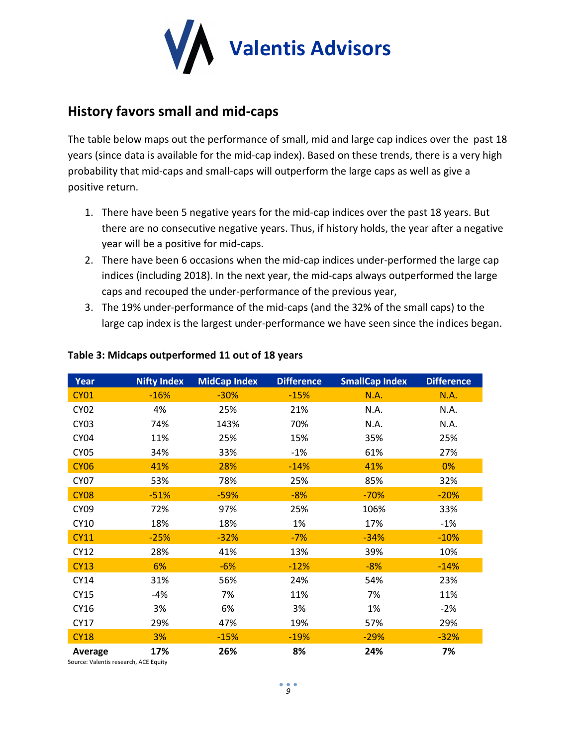

# **History favors small and mid-caps**

The table below maps out the performance of small, mid and large cap indices over the past 18 years (since data is available for the mid-cap index). Based on these trends, there is a very high probability that mid-caps and small-caps will outperform the large caps as well as give a positive return.

- 1. There have been 5 negative years for the mid-cap indices over the past 18 years. But there are no consecutive negative years. Thus, if history holds, the year after a negative year will be a positive for mid-caps.
- 2. There have been 6 occasions when the mid-cap indices under-performed the large cap indices (including 2018). In the next year, the mid-caps always outperformed the large caps and recouped the under-performance of the previous year,
- 3. The 19% under-performance of the mid-caps (and the 32% of the small caps) to the large cap index is the largest under-performance we have seen since the indices began.

| Year             | <b>Nifty Index</b> | <b>MidCap Index</b> | <b>Difference</b> | <b>SmallCap Index</b> | <b>Difference</b> |
|------------------|--------------------|---------------------|-------------------|-----------------------|-------------------|
| <b>CY01</b>      | $-16%$             | $-30%$              | $-15%$            | N.A.                  | N.A.              |
| <b>CY02</b>      | 4%                 | 25%                 | 21%               | N.A.                  | N.A.              |
| <b>CY03</b>      | 74%                | 143%                | 70%               | N.A.                  | N.A.              |
| CY <sub>04</sub> | 11%                | 25%                 | 15%               | 35%                   | 25%               |
| <b>CY05</b>      | 34%                | 33%                 | $-1%$             | 61%                   | 27%               |
| <b>CY06</b>      | 41%                | 28%                 | $-14%$            | 41%                   | 0%                |
| <b>CY07</b>      | 53%                | 78%                 | 25%               | 85%                   | 32%               |
| <b>CY08</b>      | $-51%$             | $-59%$              | $-8%$             | $-70%$                | $-20%$            |
| CY <sub>09</sub> | 72%                | 97%                 | 25%               | 106%                  | 33%               |
| CY10             | 18%                | 18%                 | 1%                | 17%                   | $-1%$             |
| <b>CY11</b>      | $-25%$             | $-32%$              | $-7%$             | $-34%$                | $-10%$            |
| <b>CY12</b>      | 28%                | 41%                 | 13%               | 39%                   | 10%               |
| <b>CY13</b>      | 6%                 | $-6%$               | $-12%$            | $-8%$                 | $-14%$            |
| CY14             | 31%                | 56%                 | 24%               | 54%                   | 23%               |
| <b>CY15</b>      | $-4%$              | 7%                  | 11%               | 7%                    | 11%               |
| CY16             | 3%                 | 6%                  | 3%                | 1%                    | $-2%$             |
| CY17             | 29%                | 47%                 | 19%               | 57%                   | 29%               |
| <b>CY18</b>      | 3%                 | $-15%$              | $-19%$            | $-29%$                | $-32%$            |
| Average          | 17%                | 26%                 | 8%                | 24%                   | 7%                |

#### **Table 3: Midcaps outperformed 11 out of 18 years**

Source: Valentis research, ACE Equity